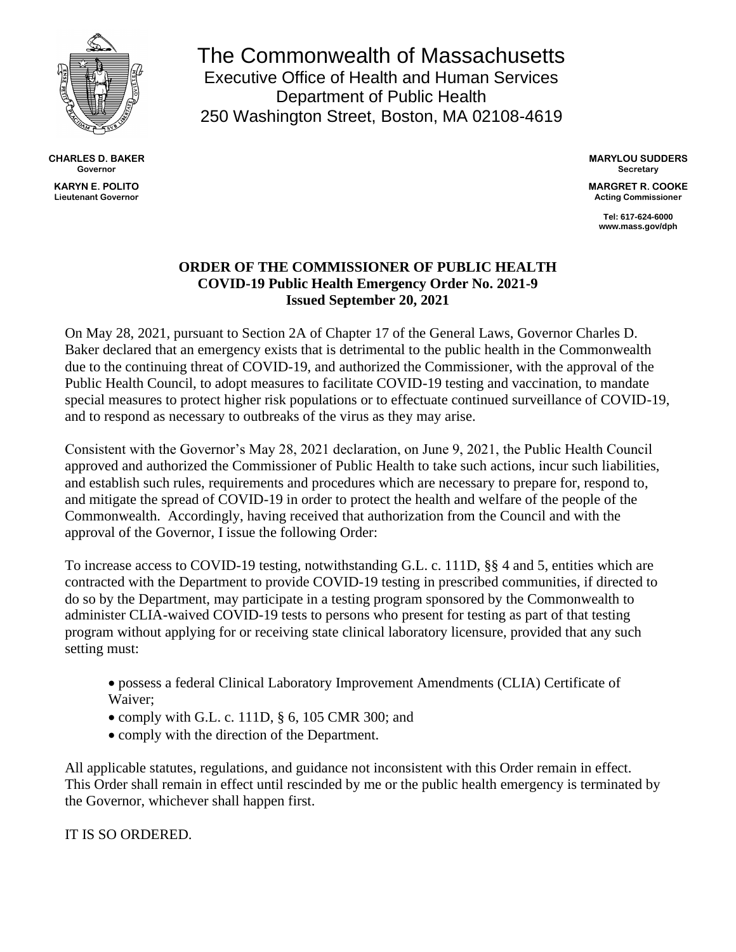

**CHARLES D. BAKER Governor KARYN E. POLITO Lieutenant Governor**

The Commonwealth of Massachusetts Executive Office of Health and Human Services Department of Public Health 250 Washington Street, Boston, MA 02108-4619

> **MARYLOU SUDDERS Secretary**

**MARGRET R. COOKE Acting Commissioner**

> **Tel: 617-624-6000 www.mass.gov/dph**

## **ORDER OF THE COMMISSIONER OF PUBLIC HEALTH COVID-19 Public Health Emergency Order No. 2021-9 Issued September 20, 2021**

On May 28, 2021, pursuant to Section 2A of Chapter 17 of the General Laws, Governor Charles D. Baker declared that an emergency exists that is detrimental to the public health in the Commonwealth due to the continuing threat of COVID-19, and authorized the Commissioner, with the approval of the Public Health Council, to adopt measures to facilitate COVID-19 testing and vaccination, to mandate special measures to protect higher risk populations or to effectuate continued surveillance of COVID-19, and to respond as necessary to outbreaks of the virus as they may arise.

Consistent with the Governor's May 28, 2021 declaration, on June 9, 2021, the Public Health Council approved and authorized the Commissioner of Public Health to take such actions, incur such liabilities, and establish such rules, requirements and procedures which are necessary to prepare for, respond to, and mitigate the spread of COVID-19 in order to protect the health and welfare of the people of the Commonwealth. Accordingly, having received that authorization from the Council and with the approval of the Governor, I issue the following Order:

To increase access to COVID-19 testing, notwithstanding G.L. c. 111D, §§ 4 and 5, entities which are contracted with the Department to provide COVID-19 testing in prescribed communities, if directed to do so by the Department, may participate in a testing program sponsored by the Commonwealth to administer CLIA-waived COVID-19 tests to persons who present for testing as part of that testing program without applying for or receiving state clinical laboratory licensure, provided that any such setting must:

- possess a federal Clinical Laboratory Improvement Amendments (CLIA) Certificate of Waiver;
- comply with G.L. c. 111D, § 6, 105 CMR 300; and
- comply with the direction of the Department.

All applicable statutes, regulations, and guidance not inconsistent with this Order remain in effect. This Order shall remain in effect until rescinded by me or the public health emergency is terminated by the Governor, whichever shall happen first.

## IT IS SO ORDERED.